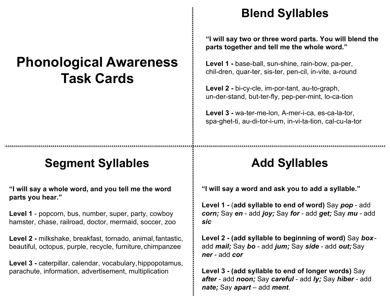# **Phonological Awareness Task Cards**

### **Segment Syllables**

**"I will say a whole word, and you tell me the word parts you hear."**

**Level 1** - popcorn, bus, number, super, party, cowboy hamster, chase, railroad, doctor, mermaid, soccer, zoo

**Level 2 -** milkshake, breakfast, tornado, animal,fantastic, beautiful, octopus, purple, recycle, furniture, chimpanzee

**Level 3 -** caterpillar, calendar, vocabulary,hippopotamus, parachute, information, advertisement, multiplication

#### **Blend Syllables**

**"I will say two or three word parts. You will blend the parts together and tell me the whole word."**

**Level 1 -** base-ball, sun-shine, rain-bow, pa-per, chil-dren, quar-ter, sis-ter, pen-cil, in-vite, a-round

**Level 2 -** bi-cy-cle, im-por-tant, au-to-graph, un-der-stand, but-ter-fly, pep-per-mint, lo-ca-tion

**Level 3 -** wa-ter-me-lon, A-mer-i-ca, es-ca-la-tor, spa-ghet-ti, au-di-tor-i-um, in-vi-ta-tion, cal-cu-la-tor

#### **Add Sy**I**llables**

**"I will say a word and ask you to add a syllable."** 

**Level 1 -** (**add syllable to end of word)** Say *pop* - add *corn;* Say *en* - add *joy;* Say *for* - add *get;* Say *mu* - add *sic*

**Level 2 - (add syllable to beginning of word)** Say *box*add *mail;* Say *bo* - add *jum;* Say *side* - add *out;*Say *ner* - add *cor*

**Level 3 - (add syllable to end of longer words)** Say *after* - add *noon;* Say *careful* - add *ly;* Say *hiber* - add *nate;* Say *apart* – add *ment*.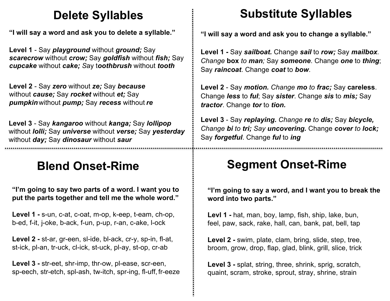### **Delete Syllables**

**"I will say a word and ask you to delete a syllable."** 

**Level 1** - Say *playground* without *ground;* Say *scarecrow* without *crow;* Say *goldfish* without *fish;* Say *cupcake* without *cake; S*ay t*oothbrush* without *tooth*

**Level 2** - Say *zero* without *ze;* Say *because* without *cause;* Say *rocket* without *et;* Say *pumpkin*without *pump;* Say *recess* without *re*

**Level 3** - Say *kangaroo* without *kanga;* Say *lollipop*  without *lolli;* Say *universe* without *verse;* Say *yesterday* without *day;* Say *dinosaur* without *saur*

# **Blend Onset-Rime**

**"I'm going to say two parts of a word. I want you to put the parts together and tell me the whole word."**

**Level 1 -** s-un, c-at, c-oat, m-op, k-eep, t-eam, ch-op, b-ed, f-it, j-oke, b-ack, f-un, p-up, r-an, c-ake, l-ock

**Level 2 -** st-ar, gr-een, sl-ide, bl-ack, cr-y, sp-in, fl-at, st-ick, pl-an, tr-uck, cl-ick, st-uck, pl-ay, st-op, cr-ab

**Level 3 -** str-eet, shr-imp, thr-ow, pl-ease, scr-een, sp-eech, str-etch, spl-ash, tw-itch, spr-ing, fl-uff, fr-eeze

# **Substitute Syllables**

**"I will say a word and ask you to change a syllable."** 

**Level 1 -** Say *sailboat.* Change *sail* to *row;* Say *mailbox. Change* **box** *to man;* Say *someone*. Change *one* to *thing*; Say *raincoat*. Change *coat* to *bow*.

**Level 2** - Say *motion. Change mo to frac;* Say **careless**. Change *less* to *ful*; Say *sister*. Change *sis* to *mis;* Say *tractor*. Change *tor* to *tion.*

**Level 3** - Say *replaying. Change re to dis;* Say *bicycle, Change bi to tri; Say uncovering.* Change *cover to lock;*  Say *forgetful*. Change *ful* to *ing*

# **Segment Onset-Rime**

**"I'm going to say a word, and I want you to break the word into two parts."**

**Levl 1 -** hat, man, boy, lamp, fish, ship, lake, bun, feel, paw, sack, rake, hall, can, bank, pat, bell, tap

**Level 2 -** swim, plate, clam, bring, slide, step, tree, broom, grow, drop, flap, glad, blink, grill, slice, trick

**Level 3 -** splat, string, three, shrink, sprig, scratch, quaint, scram, stroke, sprout, stray, shrine, strain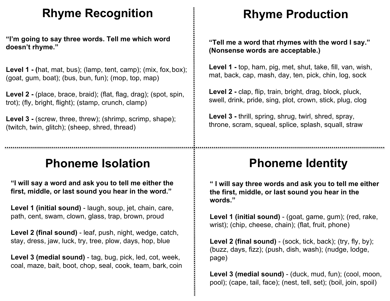#### **Rhyme Recognition**

**"I'm going to say three words. Tell me which word doesn't rhyme."**

Level 1 - **(hat, mat, bus)**; (lamp, tent, camp); (mix, fox, box); (goat, gum, boat); (bus, bun, fun); (mop, top, map)

**Level 2 -** (place, brace, braid); (flat, flag, drag); (spot, spin, trot); (fly, bright, flight); (stamp, crunch, clamp)

Level 3 - (screw, three, threw); (shrimp, scrimp, shape); (twitch, twin, glitch); (sheep, shred, thread)

### **Phoneme Isolation**

**"I will say a word and ask you to tell me either the first, middle, or last sound you hear in the word."**

**Level 1 (initial sound)** - laugh, soup, jet, chain, care, path, cent, swam, clown, glass, trap, brown, proud

**Level 2 (final sound)** - leaf, push, night, wedge, catch, stay, dress, jaw, luck, try, tree, plow, days, hop, blue

**Level 3 (medial sound)** - tag, bug, pick, led, cot, week, coal, maze, bait, boot, chop, seal, cook, team, bark, coin

### **Rhyme Production**

**"Tell me a word that rhymes with the word I say." (Nonsense words are acceptable.)**

**Level 1 -** top, ham, pig, met, shut, take, fill, van, wish, mat, back, cap, mash, day, ten, pick, chin, log, sock

**Level 2 -** clap, flip, train, bright, drag, block, pluck, swell, drink, pride, sing, plot, crown, stick, plug, clog

**Level 3 -** thrill, spring, shrug, twirl, shred, spray, throne, scram, squeal, splice, splash, squall, straw

# **Phoneme Identity**

**" I will say three words and ask you to tell me either the first, middle, or last sound you hear in the words."**

**Level 1 (initial sound)** - (goat, game, gum); (red, rake, wrist); (chip, cheese, chain); (flat, fruit, phone)

Level 2 (final sound) - (sock, tick, back); (try, fly, by); (buzz, days, fizz); (push, dish, wash); (nudge, lodge, page)

Level 3 (medial sound) - (duck, mud, fun); (cool, moon, pool); (cape, tail, face); (nest, tell, set); (boil, join, spoil)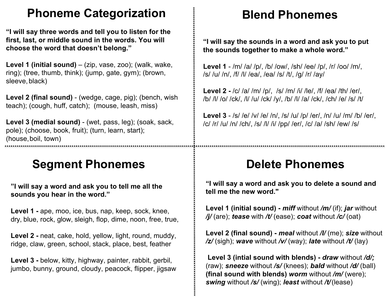### **Phoneme Categorization**

**"I will say three words and tell you to listen for the first, last, or middle sound in the words. You will choose the word that doesn't belong."**

Level 1 (initial sound) – (zip, vase, zoo); (walk, wake, ring); (tree, thumb, think); (jump, gate, gym); (brown, sleeve, black)

**Level 2 (final sound)** - (wedge, cage, pig); (bench, wish teach); (cough, huff, catch); (mouse, leash, miss)

**Level 3 (medial sound)** - (wet, pass, leg); (soak, sack, pole); (choose, book, fruit); (turn, learn, start); (house,boil, town)

#### **Segment Phonemes**

**"I will say a word and ask you to tell me all the sounds you hear in the word."**

**Level 1 -** ape, moo, ice, bus, nap, keep, sock, knee, dry, blue, rock, glow, sleigh, flop, dime, noon, free, true,

**Level 2 -** neat, cake, hold, yellow, light, round, muddy, ridge, claw, green, school, stack, place, best, feather

**Level 3 -** below, kitty, highway, painter, rabbit, gerbil, jumbo, bunny, ground, cloudy, peacock, flipper, jigsaw

#### **Blend Phonemes**

**"I will say the sounds in a word and ask you to put the sounds together to make a whole word."**

**Level 1** - /m/ /a/ /p/, /b/ /ow/, /sh/ /ee/ /p/, /r/ /oo/ /m/, /s/ /u/ /n/, /f/ /l/ /ea/, /ea/ /s/ /t/, /g/ /r/ /ay/

**Level 2 -** /c/ /a/ /m/ /p/, /s/ /m/ /i/ /le/, /f/ /ea/ /th/ /er/, /b/ /l/ /o/ /ck/, /l/ /u/ /ck/ /y/, /b/ /l/ /a/ /ck/, /ch/ /e/ /s/ /t/

**Level 3** - /s/ /e/ /v/ /e/ /n/, /s/ /u/ /p/ /er/, /n/ /u/ /m/ /b/ /er/, /c/ /r/ /u/ /n/ /ch/, /s/ /l/ /i/ /pp/ /er/, /c/ /a/ /sh/ /ew/ /s/

#### **Delete Phonemes**

**"I will say a word and ask you to delete a sound and tell me the new word."**

**Level 1 (initial sound) -** *miff* without */m/* (if); *jar* without */j/* (are); *tease* with */t/* (ease); *coat* without */c/* (oat)

**Level 2 (final sound) -** *meal* without */l/* (me); *size* without */z/* (sigh); *wave* without */v/* (way); *late* without */t/* (lay)

**Level 3 (intial sound with blends) -** *draw* without */d/;* (raw); *sneeze* without */s/* (knees); *bald* without */d/* (ball) **(final sound with blends)** *worm* without */m/* (were); *swing* without */s/* (wing); *least* without */t/*(lease)